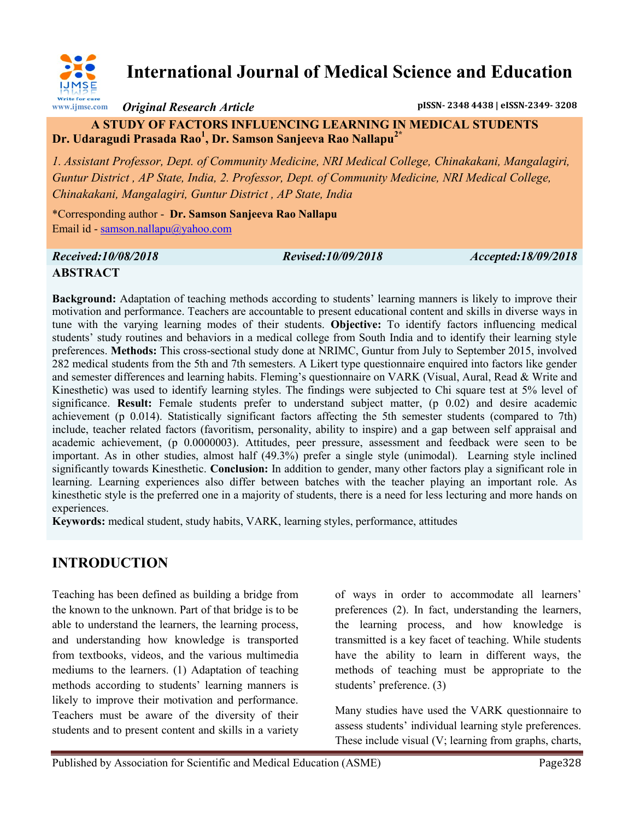

# **International Journal of Medical Science and Education**

*Original Research Article* **pISSN- 2348 4438 | eISSN-2349- 3208**

#### **A STUDY OF FACTORS INFLUENCING LEARNING IN MEDICAL STUDENTS Dr. Udaragudi Prasada Rao<sup>1</sup> , Dr. Samson Sanjeeva Rao Nallapu2\***

*1. Assistant Professor, Dept. of Community Medicine, NRI Medical College, Chinakakani, Mangalagiri, Guntur District , AP State, India, 2. Professor, Dept. of Community Medicine, NRI Medical College, Chinakakani, Mangalagiri, Guntur District , AP State, India*

\*Corresponding author - **Dr. Samson Sanjeeva Rao Nallapu** Email id - [samson.nallapu@yahoo.com](mailto:samson.nallapu@yahoo.com)

## *Received:10/08/2018 Revised:10/09/2018 Accepted:18/09/2018* **ABSTRACT**

**Background:** Adaptation of teaching methods according to students' learning manners is likely to improve their motivation and performance. Teachers are accountable to present educational content and skills in diverse ways in tune with the varying learning modes of their students. **Objective:** To identify factors influencing medical students' study routines and behaviors in a medical college from South India and to identify their learning style preferences. **Methods:** This cross-sectional study done at NRIMC, Guntur from July to September 2015, involved 282 medical students from the 5th and 7th semesters. A Likert type questionnaire enquired into factors like gender and semester differences and learning habits. Fleming's questionnaire on VARK (Visual, Aural, Read & Write and Kinesthetic) was used to identify learning styles. The findings were subjected to Chi square test at 5% level of significance. **Result:** Female students prefer to understand subject matter, (p 0.02) and desire academic achievement (p 0.014). Statistically significant factors affecting the 5th semester students (compared to 7th) include, teacher related factors (favoritism, personality, ability to inspire) and a gap between self appraisal and academic achievement, (p 0.0000003). Attitudes, peer pressure, assessment and feedback were seen to be important. As in other studies, almost half (49.3%) prefer a single style (unimodal). Learning style inclined significantly towards Kinesthetic. **Conclusion:** In addition to gender, many other factors play a significant role in learning. Learning experiences also differ between batches with the teacher playing an important role. As kinesthetic style is the preferred one in a majority of students, there is a need for less lecturing and more hands on experiences.

**Keywords:** medical student, study habits, VARK, learning styles, performance, attitudes

# **INTRODUCTION**

Teaching has been defined as building a bridge from the known to the unknown. Part of that bridge is to be able to understand the learners, the learning process, and understanding how knowledge is transported from textbooks, videos, and the various multimedia mediums to the learners. (1) Adaptation of teaching methods according to students' learning manners is likely to improve their motivation and performance. Teachers must be aware of the diversity of their students and to present content and skills in a variety

of ways in order to accommodate all learners' preferences (2). In fact, understanding the learners, the learning process, and how knowledge is transmitted is a key facet of teaching. While students have the ability to learn in different ways, the methods of teaching must be appropriate to the students' preference. (3)

Many studies have used the VARK questionnaire to assess students' individual learning style preferences. These include visual (V; learning from graphs, charts,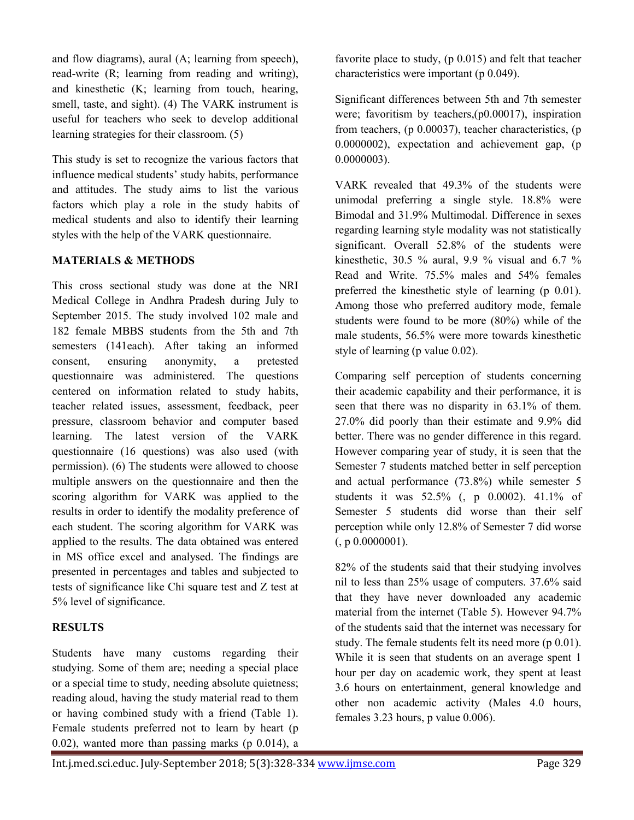and flow diagrams), aural (A; learning from speech), read-write (R; learning from reading and writing), and kinesthetic (K; learning from touch, hearing, smell, taste, and sight). (4) The VARK instrument is useful for teachers who seek to develop additional learning strategies for their classroom. (5)

This study is set to recognize the various factors that influence medical students' study habits, performance and attitudes. The study aims to list the various factors which play a role in the study habits of medical students and also to identify their learning styles with the help of the VARK questionnaire.

#### **MATERIALS & METHODS**

This cross sectional study was done at the NRI Medical College in Andhra Pradesh during July to September 2015. The study involved 102 male and 182 female MBBS students from the 5th and 7th semesters (141each). After taking an informed consent, ensuring anonymity, a pretested questionnaire was administered. The questions centered on information related to study habits, teacher related issues, assessment, feedback, peer pressure, classroom behavior and computer based learning. The latest version of the VARK questionnaire (16 questions) was also used (with permission). (6) The students were allowed to choose multiple answers on the questionnaire and then the scoring algorithm for VARK was applied to the results in order to identify the modality preference of each student. The scoring algorithm for VARK was applied to the results. The data obtained was entered in MS office excel and analysed. The findings are presented in percentages and tables and subjected to tests of significance like Chi square test and Z test at 5% level of significance.

#### **RESULTS**

Students have many customs regarding their studying. Some of them are; needing a special place or a special time to study, needing absolute quietness; reading aloud, having the study material read to them or having combined study with a friend (Table 1). Female students preferred not to learn by heart (p 0.02), wanted more than passing marks (p 0.014), a

favorite place to study, (p 0.015) and felt that teacher characteristics were important (p 0.049).

Significant differences between 5th and 7th semester were; favoritism by teachers,(p0.00017), inspiration from teachers, (p 0.00037), teacher characteristics, (p 0.0000002), expectation and achievement gap, (p 0.0000003).

VARK revealed that 49.3% of the students were unimodal preferring a single style. 18.8% were Bimodal and 31.9% Multimodal. Difference in sexes regarding learning style modality was not statistically significant. Overall 52.8% of the students were kinesthetic, 30.5 % aural, 9.9 % visual and 6.7 % Read and Write. 75.5% males and 54% females preferred the kinesthetic style of learning (p 0.01). Among those who preferred auditory mode, female students were found to be more (80%) while of the male students, 56.5% were more towards kinesthetic style of learning (p value 0.02).

Comparing self perception of students concerning their academic capability and their performance, it is seen that there was no disparity in 63.1% of them. 27.0% did poorly than their estimate and 9.9% did better. There was no gender difference in this regard. However comparing year of study, it is seen that the Semester 7 students matched better in self perception and actual performance (73.8%) while semester 5 students it was 52.5% (, p 0.0002). 41.1% of Semester 5 students did worse than their self perception while only 12.8% of Semester 7 did worse  $($ , p 0.0000001).

82% of the students said that their studying involves nil to less than 25% usage of computers. 37.6% said that they have never downloaded any academic material from the internet (Table 5). However 94.7% of the students said that the internet was necessary for study. The female students felt its need more (p 0.01). While it is seen that students on an average spent 1 hour per day on academic work, they spent at least 3.6 hours on entertainment, general knowledge and other non academic activity (Males 4.0 hours, females 3.23 hours, p value 0.006).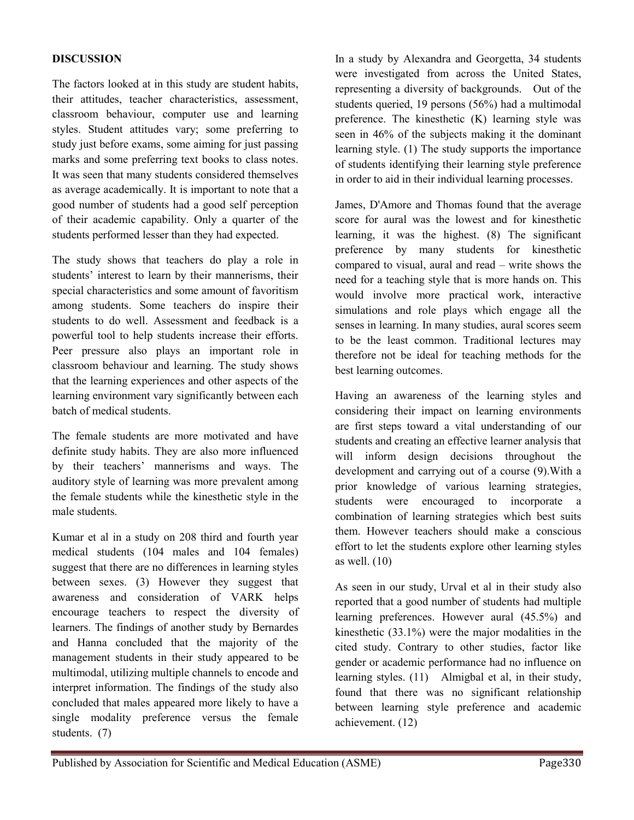#### **DISCUSSION**

The factors looked at in this study are student habits, their attitudes, teacher characteristics, assessment, classroom behaviour, computer use and learning styles. Student attitudes vary; some preferring to study just before exams, some aiming for just passing marks and some preferring text books to class notes. It was seen that many students considered themselves as average academically. It is important to note that a good number of students had a good self perception of their academic capability. Only a quarter of the students performed lesser than they had expected.

The study shows that teachers do play a role in students' interest to learn by their mannerisms, their special characteristics and some amount of favoritism among students. Some teachers do inspire their students to do well. Assessment and feedback is a powerful tool to help students increase their efforts. Peer pressure also plays an important role in classroom behaviour and learning. The study shows that the learning experiences and other aspects of the learning environment vary significantly between each batch of medical students.

The female students are more motivated and have definite study habits. They are also more influenced by their teachers' mannerisms and ways. The auditory style of learning was more prevalent among the female students while the kinesthetic style in the male students.

Kumar et al in a study on 208 third and fourth year medical students (104 males and 104 females) suggest that there are no differences in learning styles between sexes. (3) However they suggest that awareness and consideration of VARK helps encourage teachers to respect the diversity of learners. The findings of another study by Bernardes and Hanna concluded that the majority of the management students in their study appeared to be multimodal, utilizing multiple channels to encode and interpret information. The findings of the study also concluded that males appeared more likely to have a single modality preference versus the female students. (7)

In a study by Alexandra and Georgetta, 34 students were investigated from across the United States, representing a diversity of backgrounds. Out of the students queried, 19 persons (56%) had a multimodal preference. The kinesthetic (K) learning style was seen in 46% of the subjects making it the dominant learning style. (1) The study supports the importance of students identifying their learning style preference in order to aid in their individual learning processes.

James, D'Amore and Thomas found that the average score for aural was the lowest and for kinesthetic learning, it was the highest. (8) The significant preference by many students for kinesthetic compared to visual, aural and read – write shows the need for a teaching style that is more hands on. This would involve more practical work, interactive simulations and role plays which engage all the senses in learning. In many studies, aural scores seem to be the least common. Traditional lectures may therefore not be ideal for teaching methods for the best learning outcomes.

Having an awareness of the learning styles and considering their impact on learning environments are first steps toward a vital understanding of our students and creating an effective learner analysis that will inform design decisions throughout the development and carrying out of a course (9).With a prior knowledge of various learning strategies, students were encouraged to incorporate a combination of learning strategies which best suits them. However teachers should make a conscious effort to let the students explore other learning styles as well. (10)

As seen in our study, Urval et al in their study also reported that a good number of students had multiple learning preferences. However aural (45.5%) and kinesthetic (33.1%) were the major modalities in the cited study. Contrary to other studies, factor like gender or academic performance had no influence on learning styles. (11) Almigbal et al, in their study, found that there was no significant relationship between learning style preference and academic achievement. (12)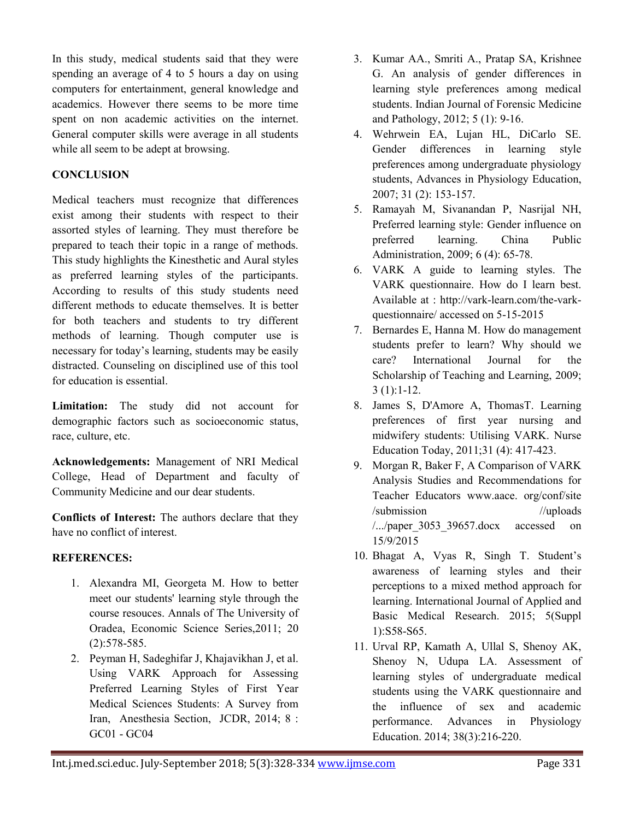In this study, medical students said that they were spending an average of 4 to 5 hours a day on using computers for entertainment, general knowledge and academics. However there seems to be more time spent on non academic activities on the internet. General computer skills were average in all students while all seem to be adept at browsing.

#### **CONCLUSION**

Medical teachers must recognize that differences exist among their students with respect to their assorted styles of learning. They must therefore be prepared to teach their topic in a range of methods. This study highlights the Kinesthetic and Aural styles as preferred learning styles of the participants. According to results of this study students need different methods to educate themselves. It is better for both teachers and students to try different methods of learning. Though computer use is necessary for today's learning, students may be easily distracted. Counseling on disciplined use of this tool for education is essential.

**Limitation:** The study did not account for demographic factors such as socioeconomic status, race, culture, etc.

**Acknowledgements:** Management of NRI Medical College, Head of Department and faculty of Community Medicine and our dear students.

**Conflicts of Interest:** The authors declare that they have no conflict of interest.

### **REFERENCES:**

- 1. Alexandra MI, Georgeta M. How to better meet our students' learning style through the course resouces. Annals of The University of Oradea, Economic Science Series,2011; 20 (2):578-585.
- 2. Peyman H, Sadeghifar J, Khajavikhan J, et al. Using VARK Approach for Assessing Preferred Learning Styles of First Year Medical Sciences Students: A Survey from Iran, Anesthesia Section, JCDR, 2014; 8 : GC01 - GC04
- 3. Kumar AA., Smriti A., Pratap SA, Krishnee G. An analysis of gender differences in learning style preferences among medical students. Indian Journal of Forensic Medicine and Pathology, 2012; 5 (1): 9-16.
- 4. Wehrwein EA, Lujan HL, DiCarlo SE. Gender differences in learning style preferences among undergraduate physiology students, Advances in Physiology Education, 2007; 31 (2): 153-157.
- 5. Ramayah M, Sivanandan P, Nasrijal NH, Preferred learning style: Gender influence on preferred learning. China Public Administration, 2009; 6 (4): 65-78.
- 6. VARK A guide to learning styles. The VARK questionnaire. How do I learn best. Available at : http://vark-learn.com/the-varkquestionnaire/ accessed on 5-15-2015
- 7. Bernardes E, Hanna M. How do management students prefer to learn? Why should we care? International Journal for the Scholarship of Teaching and Learning, 2009; 3 (1):1-12.
- 8. James S, D'Amore A, ThomasT. Learning preferences of first year nursing and midwifery students: Utilising VARK. Nurse Education Today, 2011;31 (4): 417-423.
- 9. Morgan R, Baker F, A Comparison of VARK Analysis Studies and Recommendations for Teacher Educators www.aace. org/conf/site /submission //uploads  $/$ .../paper 3053 39657.docx accessed on 15/9/2015
- 10. Bhagat A, Vyas R, Singh T. Student's awareness of learning styles and their perceptions to a mixed method approach for learning. International Journal of Applied and Basic Medical Research. 2015; 5(Suppl 1):S58-S65.
- 11. Urval RP, Kamath A, Ullal S, Shenoy AK, Shenoy N, Udupa LA. Assessment of learning styles of undergraduate medical students using the VARK questionnaire and the influence of sex and academic performance. Advances in Physiology Education. 2014; 38(3):216-220.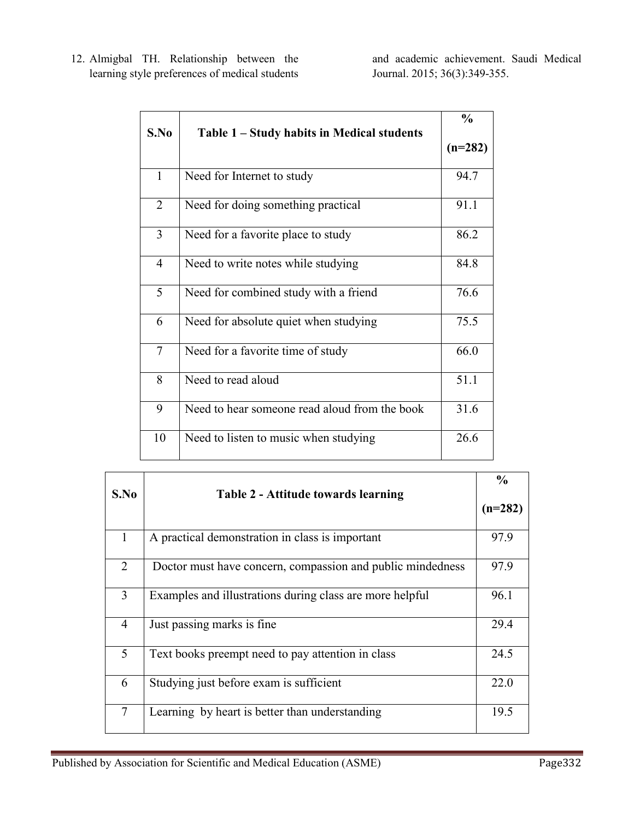12. Almigbal TH. Relationship between the learning style preferences of medical students

and academic achievement. Saudi Medical Journal. 2015; 36(3):349-355.

| S.No           | Table 1 – Study habits in Medical students    | $\frac{0}{0}$<br>$(n=282)$ |
|----------------|-----------------------------------------------|----------------------------|
|                |                                               |                            |
| $\mathbf{1}$   | Need for Internet to study                    | 94.7                       |
| $\overline{2}$ | Need for doing something practical            | 91.1                       |
| $\overline{3}$ | Need for a favorite place to study            | 86.2                       |
| $\overline{4}$ | Need to write notes while studying            | 84.8                       |
| 5              | Need for combined study with a friend         | 76.6                       |
| 6              | Need for absolute quiet when studying         | 75.5                       |
| $\tau$         | Need for a favorite time of study             | 66.0                       |
| 8              | Need to read aloud                            | 51.1                       |
| 9              | Need to hear someone read aloud from the book | 31.6                       |
| 10             | Need to listen to music when studying         | 26.6                       |

|                                             |                                                            | $\frac{0}{0}$ |  |  |  |
|---------------------------------------------|------------------------------------------------------------|---------------|--|--|--|
| S.No<br>Table 2 - Attitude towards learning |                                                            |               |  |  |  |
|                                             |                                                            | $(n=282)$     |  |  |  |
|                                             |                                                            |               |  |  |  |
| 1                                           | A practical demonstration in class is important            | 97.9          |  |  |  |
| 2                                           | Doctor must have concern, compassion and public mindedness | 97.9          |  |  |  |
| 3                                           | Examples and illustrations during class are more helpful   | 96.1          |  |  |  |
| $\overline{4}$                              | Just passing marks is fine                                 | 29.4          |  |  |  |
| 5                                           | Text books preempt need to pay attention in class          | 24.5          |  |  |  |
| 6                                           | Studying just before exam is sufficient                    | 22.0          |  |  |  |
| $\overline{7}$                              | Learning by heart is better than understanding             | 19.5          |  |  |  |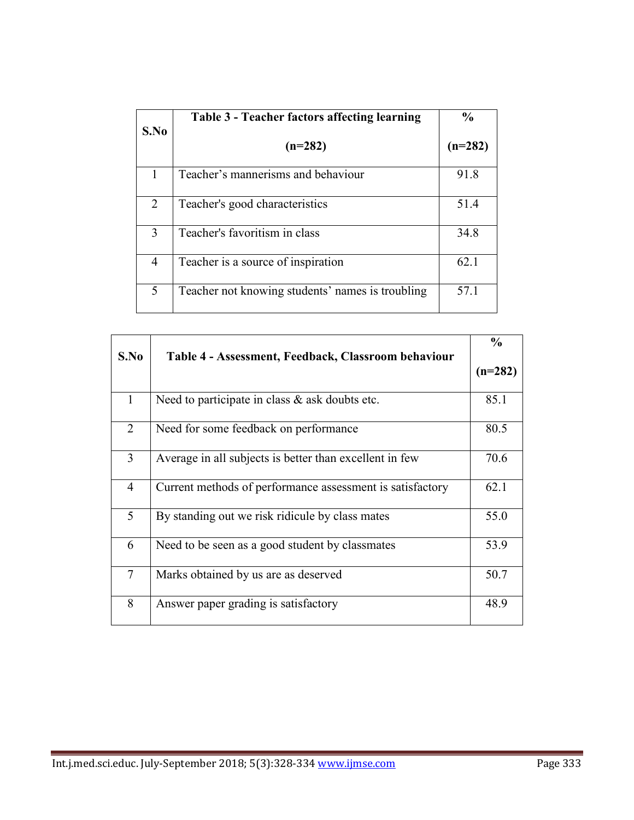| S.No | Table 3 - Teacher factors affecting learning     | $\frac{0}{0}$ |
|------|--------------------------------------------------|---------------|
|      | $(n=282)$                                        | $(n=282)$     |
|      | Teacher's mannerisms and behaviour               | 91.8          |
| 2    | Teacher's good characteristics                   | 51.4          |
| 3    | Teacher's favoritism in class                    | 34.8          |
| 4    | Teacher is a source of inspiration               | 62.1          |
| 5    | Teacher not knowing students' names is troubling | 57.1          |

| S.No           | Table 4 - Assessment, Feedback, Classroom behaviour       |           |
|----------------|-----------------------------------------------------------|-----------|
|                |                                                           | $(n=282)$ |
| $\mathbf{1}$   | Need to participate in class $\&$ ask doubts etc.         | 85.1      |
| 2              | Need for some feedback on performance                     | 80.5      |
| $\overline{3}$ | Average in all subjects is better than excellent in few   | 70.6      |
| $\overline{4}$ | Current methods of performance assessment is satisfactory | 62.1      |
| 5              | By standing out we risk ridicule by class mates           | 55.0      |
| 6              | Need to be seen as a good student by classmates           | 53.9      |
| $\tau$         | Marks obtained by us are as deserved                      | 50.7      |
| 8              | Answer paper grading is satisfactory                      | 48.9      |